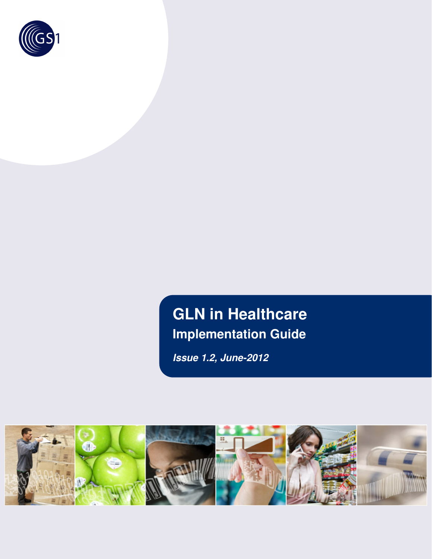

# **GLN in Healthcare Implementation Guide**

**Issue 1.2, June-2012** 

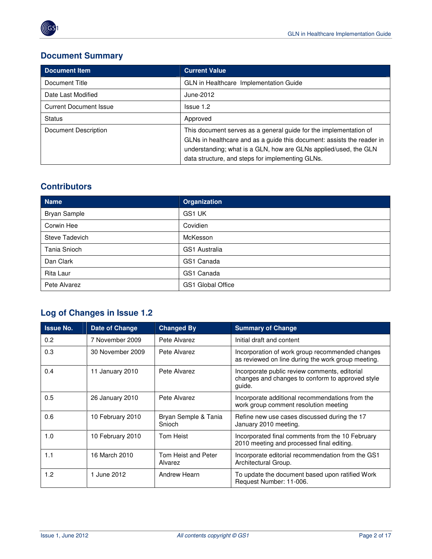### **Document Summary**

 $\sqrt[\infty]{G}$ 

| <b>Document Item</b>          | <b>Current Value</b>                                                                                                                                                                                                                                                |
|-------------------------------|---------------------------------------------------------------------------------------------------------------------------------------------------------------------------------------------------------------------------------------------------------------------|
| Document Title                | <b>GLN</b> in Healthcare Implementation Guide                                                                                                                                                                                                                       |
| Date Last Modified            | June-2012                                                                                                                                                                                                                                                           |
| <b>Current Document Issue</b> | Issue 1.2                                                                                                                                                                                                                                                           |
| <b>Status</b>                 | Approved                                                                                                                                                                                                                                                            |
| Document Description          | This document serves as a general guide for the implementation of<br>GLNs in healthcare and as a guide this document: assists the reader in<br>understanding; what is a GLN, how are GLNs applied/used, the GLN<br>data structure, and steps for implementing GLNs. |

### **Contributors**

| <b>Name</b>         | Organization      |
|---------------------|-------------------|
| <b>Bryan Sample</b> | GS1 UK            |
| Corwin Hee          | Covidien          |
| Steve Tadevich      | McKesson          |
| Tania Snioch        | GS1 Australia     |
| Dan Clark           | GS1 Canada        |
| Rita Laur           | GS1 Canada        |
| Pete Alvarez        | GS1 Global Office |

### **Log of Changes in Issue 1.2**

| <b>Issue No.</b> | Date of Change   | <b>Changed By</b>              | <b>Summary of Change</b>                                                                                    |  |  |  |  |
|------------------|------------------|--------------------------------|-------------------------------------------------------------------------------------------------------------|--|--|--|--|
| 0.2              | 7 November 2009  | Pete Alvarez                   | Initial draft and content                                                                                   |  |  |  |  |
| 0.3              | 30 November 2009 | Pete Alvarez                   | Incorporation of work group recommended changes<br>as reviewed on line during the work group meeting.       |  |  |  |  |
| 0.4              | 11 January 2010  | Pete Alvarez                   | Incorporate public review comments, editorial<br>changes and changes to conform to approved style<br>guide. |  |  |  |  |
| 0.5              | 26 January 2010  | Pete Alvarez                   | Incorporate additional recommendations from the<br>work group comment resolution meeting                    |  |  |  |  |
| 0.6              | 10 February 2010 | Bryan Semple & Tania<br>Snioch | Refine new use cases discussed during the 17<br>January 2010 meeting.                                       |  |  |  |  |
| 1.0              | 10 February 2010 | Tom Heist                      | Incorporated final comments from the 10 February<br>2010 meeting and processed final editing.               |  |  |  |  |
| 1.1              | 16 March 2010    | Tom Heist and Peter<br>Alvarez | Incorporate editorial recommendation from the GS1<br>Architectural Group.                                   |  |  |  |  |
| 1.2              | 1 June 2012      | Andrew Hearn                   | To update the document based upon ratified Work<br>Request Number: 11-006.                                  |  |  |  |  |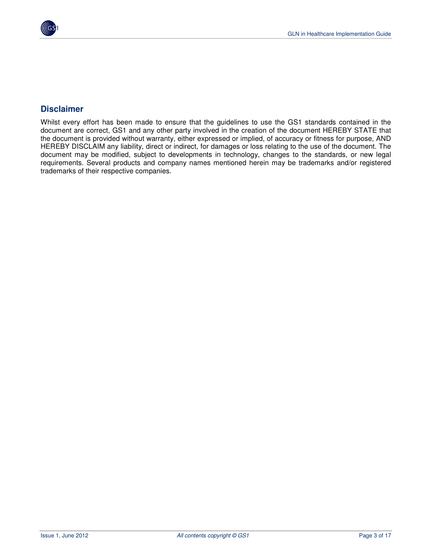

### **Disclaimer**

Whilst every effort has been made to ensure that the guidelines to use the GS1 standards contained in the document are correct, GS1 and any other party involved in the creation of the document HEREBY STATE that the document is provided without warranty, either expressed or implied, of accuracy or fitness for purpose, AND HEREBY DISCLAIM any liability, direct or indirect, for damages or loss relating to the use of the document. The document may be modified, subject to developments in technology, changes to the standards, or new legal requirements. Several products and company names mentioned herein may be trademarks and/or registered trademarks of their respective companies.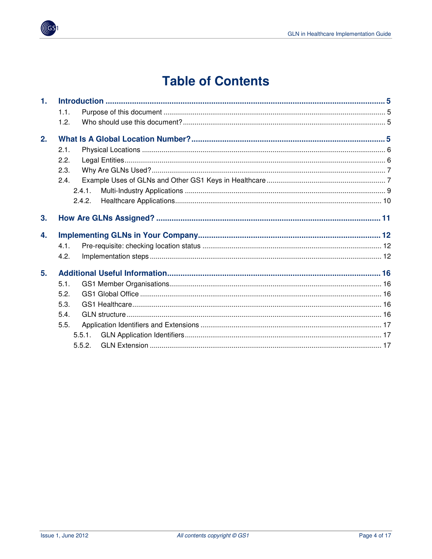

## **Table of Contents**

| 1. |        |  |
|----|--------|--|
|    | 1.1.   |  |
|    | 1.2.   |  |
| 2. |        |  |
|    | 2.1.   |  |
|    | 2.2.   |  |
|    | 2.3.   |  |
|    | 2.4.   |  |
|    | 2.4.1  |  |
|    | 2.4.2. |  |
| 3. |        |  |
|    |        |  |
| 4. |        |  |
|    | 4.1.   |  |
|    | 4.2.   |  |
| 5. |        |  |
|    | 5.1.   |  |
|    | 5.2.   |  |
|    | 5.3.   |  |
|    | 5.4.   |  |
|    | 5.5.   |  |
|    | 5.5.1. |  |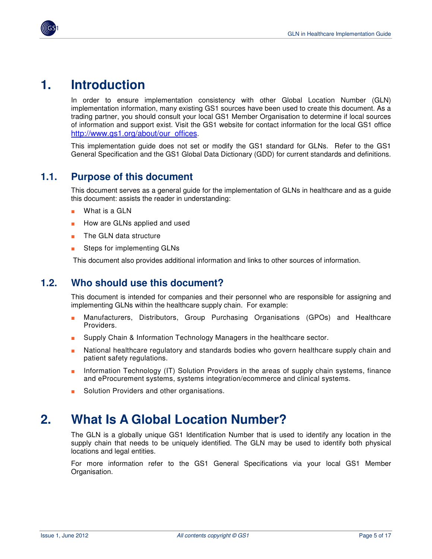## **1. Introduction**

In order to ensure implementation consistency with other Global Location Number (GLN) implementation information, many existing GS1 sources have been used to create this document. As a trading partner, you should consult your local GS1 Member Organisation to determine if local sources of information and support exist. Visit the GS1 website for contact information for the local GS1 office http://www.gs1.org/about/our\_offices.

This implementation guide does not set or modify the GS1 standard for GLNs. Refer to the GS1 General Specification and the GS1 Global Data Dictionary (GDD) for current standards and definitions.

### **1.1. Purpose of this document**

This document serves as a general guide for the implementation of GLNs in healthcare and as a guide this document: assists the reader in understanding:

- What is a GLN
- How are GLNs applied and used
- The GLN data structure
- Steps for implementing GLNs

This document also provides additional information and links to other sources of information.

### **1.2. Who should use this document?**

This document is intended for companies and their personnel who are responsible for assigning and implementing GLNs within the healthcare supply chain. For example:

- Manufacturers, Distributors, Group Purchasing Organisations (GPOs) and Healthcare Providers.
- Supply Chain & Information Technology Managers in the healthcare sector.
- National healthcare regulatory and standards bodies who govern healthcare supply chain and patient safety regulations.
- Information Technology (IT) Solution Providers in the areas of supply chain systems, finance and eProcurement systems, systems integration/ecommerce and clinical systems.
- Solution Providers and other organisations.

## **2. What Is A Global Location Number?**

The GLN is a globally unique GS1 Identification Number that is used to identify any location in the supply chain that needs to be uniquely identified. The GLN may be used to identify both physical locations and legal entities.

For more information refer to the GS1 General Specifications via your local GS1 Member Organisation.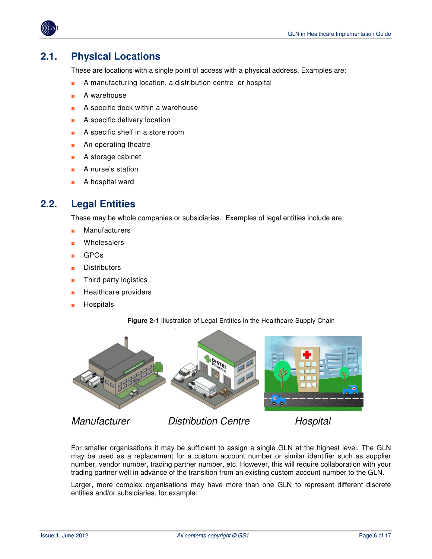

### **2.1. Physical Locations**

These are locations with a single point of access with a physical address. Examples are:

- A manufacturing location, a distribution centre or hospital
- A warehouse
- A specific dock within a warehouse
- A specific delivery location
- A specific shelf in a store room
- An operating theatre
- A storage cabinet
- A nurse's station
- A hospital ward

### **2.2. Legal Entities**

These may be whole companies or subsidiaries. Examples of legal entities include are:

- **Manufacturers**
- Wholesalers
- GPOs
- **Distributors**
- Third party logistics
- Healthcare providers
- **Hospitals**

**Figure 2-1** Illustration of Legal Entities in the Healthcare Supply Chain



Manufacturer **Distribution Centre** Hospital

For smaller organisations it may be sufficient to assign a single GLN at the highest level. The GLN may be used as a replacement for a custom account number or similar identifier such as supplier number, vendor number, trading partner number, etc. However, this will require collaboration with your trading partner well in advance of the transition from an existing custom account number to the GLN.

Larger, more complex organisations may have more than one GLN to represent different discrete entities and/or subsidiaries, for example: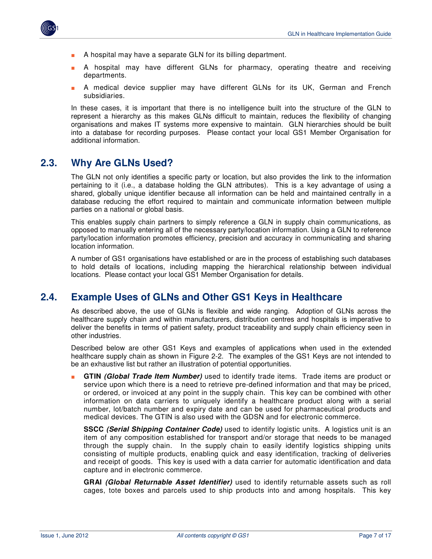

- A hospital may have a separate GLN for its billing department.
- A hospital may have different GLNs for pharmacy, operating theatre and receiving departments.
- A medical device supplier may have different GLNs for its UK, German and French subsidiaries.

In these cases, it is important that there is no intelligence built into the structure of the GLN to represent a hierarchy as this makes GLNs difficult to maintain, reduces the flexibility of changing organisations and makes IT systems more expensive to maintain. GLN hierarchies should be built into a database for recording purposes. Please contact your local GS1 Member Organisation for additional information.

### **2.3. Why Are GLNs Used?**

The GLN not only identifies a specific party or location, but also provides the link to the information pertaining to it (i.e., a database holding the GLN attributes). This is a key advantage of using a shared, globally unique identifier because all information can be held and maintained centrally in a database reducing the effort required to maintain and communicate information between multiple parties on a national or global basis.

This enables supply chain partners to simply reference a GLN in supply chain communications, as opposed to manually entering all of the necessary party/location information. Using a GLN to reference party/location information promotes efficiency, precision and accuracy in communicating and sharing location information.

A number of GS1 organisations have established or are in the process of establishing such databases to hold details of locations, including mapping the hierarchical relationship between individual locations. Please contact your local GS1 Member Organisation for details.

### **2.4. Example Uses of GLNs and Other GS1 Keys in Healthcare**

As described above, the use of GLNs is flexible and wide ranging. Adoption of GLNs across the healthcare supply chain and within manufacturers, distribution centres and hospitals is imperative to deliver the benefits in terms of patient safety, product traceability and supply chain efficiency seen in other industries.

Described below are other GS1 Keys and examples of applications when used in the extended healthcare supply chain as shown in Figure 2-2. The examples of the GS1 Keys are not intended to be an exhaustive list but rather an illustration of potential opportunities.

**GTIN** (Global Trade Item Number) used to identify trade items. Trade items are product or service upon which there is a need to retrieve pre-defined information and that may be priced, or ordered, or invoiced at any point in the supply chain. This key can be combined with other information on data carriers to uniquely identify a healthcare product along with a serial number, lot/batch number and expiry date and can be used for pharmaceutical products and medical devices. The GTIN is also used with the GDSN and for electronic commerce.

**SSCC (Serial Shipping Container Code)** used to identify logistic units. A logistics unit is an item of any composition established for transport and/or storage that needs to be managed through the supply chain. In the supply chain to easily identify logistics shipping units consisting of multiple products, enabling quick and easy identification, tracking of deliveries and receipt of goods. This key is used with a data carrier for automatic identification and data capture and in electronic commerce.

**GRAI (Global Returnable Asset Identifier)** used to identify returnable assets such as roll cages, tote boxes and parcels used to ship products into and among hospitals. This key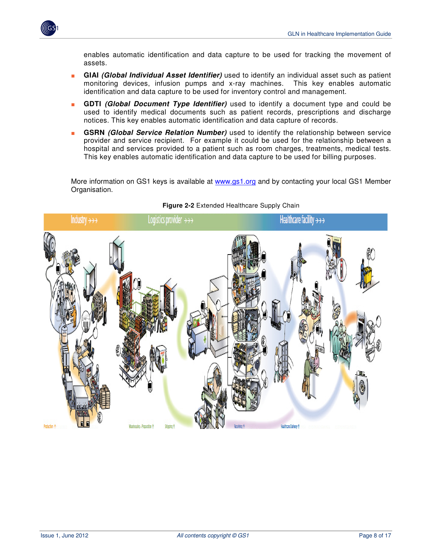

enables automatic identification and data capture to be used for tracking the movement of assets.

- GIAI (Global Individual Asset Identifier) used to identify an individual asset such as patient monitoring devices, infusion pumps and x-ray machines. This key enables automatic identification and data capture to be used for inventory control and management.
- GDTI (Global Document Type Identifier) used to identify a document type and could be used to identify medical documents such as patient records, prescriptions and discharge notices. This key enables automatic identification and data capture of records.
- **GSRN** (Global Service Relation Number) used to identify the relationship between service provider and service recipient. For example it could be used for the relationship between a hospital and services provided to a patient such as room charges, treatments, medical tests. This key enables automatic identification and data capture to be used for billing purposes.

More information on GS1 keys is available at www.gs1.org and by contacting your local GS1 Member Organisation.



### **Figure 2-2** Extended Healthcare Supply Chain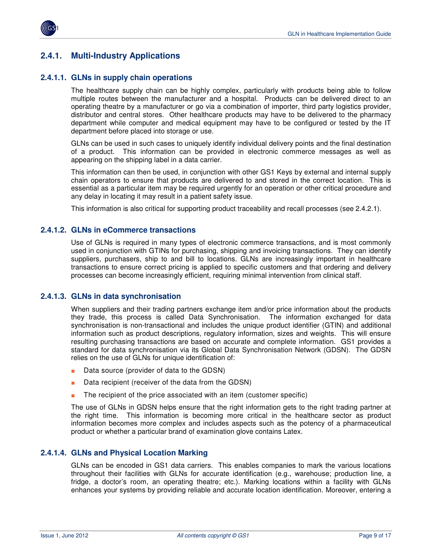

### **2.4.1. Multi-Industry Applications**

### **2.4.1.1. GLNs in supply chain operations**

The healthcare supply chain can be highly complex, particularly with products being able to follow multiple routes between the manufacturer and a hospital. Products can be delivered direct to an operating theatre by a manufacturer or go via a combination of importer, third party logistics provider, distributor and central stores. Other healthcare products may have to be delivered to the pharmacy department while computer and medical equipment may have to be configured or tested by the IT department before placed into storage or use.

GLNs can be used in such cases to uniquely identify individual delivery points and the final destination of a product. This information can be provided in electronic commerce messages as well as appearing on the shipping label in a data carrier.

This information can then be used, in conjunction with other GS1 Keys by external and internal supply chain operators to ensure that products are delivered to and stored in the correct location. This is essential as a particular item may be required urgently for an operation or other critical procedure and any delay in locating it may result in a patient safety issue.

This information is also critical for supporting product traceability and recall processes (see 2.4.2.1).

### **2.4.1.2. GLNs in eCommerce transactions**

Use of GLNs is required in many types of electronic commerce transactions, and is most commonly used in conjunction with GTINs for purchasing, shipping and invoicing transactions. They can identify suppliers, purchasers, ship to and bill to locations. GLNs are increasingly important in healthcare transactions to ensure correct pricing is applied to specific customers and that ordering and delivery processes can become increasingly efficient, requiring minimal intervention from clinical staff.

#### **2.4.1.3. GLNs in data synchronisation**

When suppliers and their trading partners exchange item and/or price information about the products they trade, this process is called Data Synchronisation. The information exchanged for data synchronisation is non-transactional and includes the unique product identifier (GTIN) and additional information such as product descriptions, regulatory information, sizes and weights. This will ensure resulting purchasing transactions are based on accurate and complete information. GS1 provides a standard for data synchronisation via its Global Data Synchronisation Network (GDSN). The GDSN relies on the use of GLNs for unique identification of:

- Data source (provider of data to the GDSN)
- Data recipient (receiver of the data from the GDSN)
- The recipient of the price associated with an item (customer specific)

The use of GLNs in GDSN helps ensure that the right information gets to the right trading partner at the right time. This information is becoming more critical in the healthcare sector as product information becomes more complex and includes aspects such as the potency of a pharmaceutical product or whether a particular brand of examination glove contains Latex.

#### **2.4.1.4. GLNs and Physical Location Marking**

GLNs can be encoded in GS1 data carriers. This enables companies to mark the various locations throughout their facilities with GLNs for accurate identification (e.g., warehouse; production line, a fridge, a doctor's room, an operating theatre; etc.). Marking locations within a facility with GLNs enhances your systems by providing reliable and accurate location identification. Moreover, entering a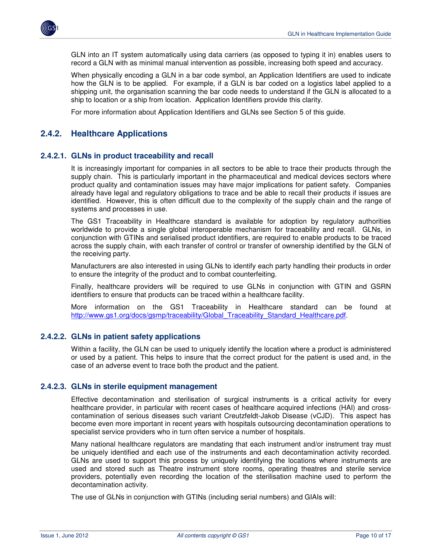

GLN into an IT system automatically using data carriers (as opposed to typing it in) enables users to record a GLN with as minimal manual intervention as possible, increasing both speed and accuracy.

When physically encoding a GLN in a bar code symbol, an Application Identifiers are used to indicate how the GLN is to be applied. For example, if a GLN is bar coded on a logistics label applied to a shipping unit, the organisation scanning the bar code needs to understand if the GLN is allocated to a ship to location or a ship from location. Application Identifiers provide this clarity.

For more information about Application Identifiers and GLNs see Section 5 of this guide.

### **2.4.2. Healthcare Applications**

### **2.4.2.1. GLNs in product traceability and recall**

It is increasingly important for companies in all sectors to be able to trace their products through the supply chain. This is particularly important in the pharmaceutical and medical devices sectors where product quality and contamination issues may have major implications for patient safety. Companies already have legal and regulatory obligations to trace and be able to recall their products if issues are identified. However, this is often difficult due to the complexity of the supply chain and the range of systems and processes in use.

The GS1 Traceability in Healthcare standard is available for adoption by regulatory authorities worldwide to provide a single global interoperable mechanism for traceability and recall. GLNs, in conjunction with GTINs and serialised product identifiers, are required to enable products to be traced across the supply chain, with each transfer of control or transfer of ownership identified by the GLN of the receiving party.

Manufacturers are also interested in using GLNs to identify each party handling their products in order to ensure the integrity of the product and to combat counterfeiting.

Finally, healthcare providers will be required to use GLNs in conjunction with GTIN and GSRN identifiers to ensure that products can be traced within a healthcare facility.

More information on the GS1 Traceability in Healthcare standard can be found at http://www.gs1.org/docs/gsmp/traceability/Global\_Traceability\_Standard\_Healthcare.pdf.

### **2.4.2.2. GLNs in patient safety applications**

Within a facility, the GLN can be used to uniquely identify the location where a product is administered or used by a patient. This helps to insure that the correct product for the patient is used and, in the case of an adverse event to trace both the product and the patient.

### **2.4.2.3. GLNs in sterile equipment management**

Effective decontamination and sterilisation of surgical instruments is a critical activity for every healthcare provider, in particular with recent cases of healthcare acquired infections (HAI) and crosscontamination of serious diseases such variant Creutzfeldt-Jakob Disease (vCJD). This aspect has become even more important in recent years with hospitals outsourcing decontamination operations to specialist service providers who in turn often service a number of hospitals.

Many national healthcare regulators are mandating that each instrument and/or instrument tray must be uniquely identified and each use of the instruments and each decontamination activity recorded. GLNs are used to support this process by uniquely identifying the locations where instruments are used and stored such as Theatre instrument store rooms, operating theatres and sterile service providers, potentially even recording the location of the sterilisation machine used to perform the decontamination activity.

The use of GLNs in conjunction with GTINs (including serial numbers) and GIAIs will: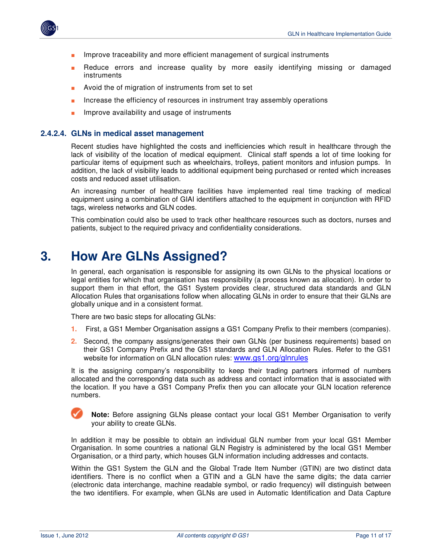

- Improve traceability and more efficient management of surgical instruments
- Reduce errors and increase quality by more easily identifying missing or damaged instruments
- Avoid the of migration of instruments from set to set
- Increase the efficiency of resources in instrument tray assembly operations
- Improve availability and usage of instruments

#### **2.4.2.4. GLNs in medical asset management**

Recent studies have highlighted the costs and inefficiencies which result in healthcare through the lack of visibility of the location of medical equipment. Clinical staff spends a lot of time looking for particular items of equipment such as wheelchairs, trolleys, patient monitors and infusion pumps. In addition, the lack of visibility leads to additional equipment being purchased or rented which increases costs and reduced asset utilisation.

An increasing number of healthcare facilities have implemented real time tracking of medical equipment using a combination of GIAI identifiers attached to the equipment in conjunction with RFID tags, wireless networks and GLN codes.

This combination could also be used to track other healthcare resources such as doctors, nurses and patients, subject to the required privacy and confidentiality considerations.

## **3. How Are GLNs Assigned?**

In general, each organisation is responsible for assigning its own GLNs to the physical locations or legal entities for which that organisation has responsibility (a process known as allocation). In order to support them in that effort, the GS1 System provides clear, structured data standards and GLN Allocation Rules that organisations follow when allocating GLNs in order to ensure that their GLNs are globally unique and in a consistent format.

There are two basic steps for allocating GLNs:

- **1.** First, a GS1 Member Organisation assigns a GS1 Company Prefix to their members (companies).
- **2.** Second, the company assigns/generates their own GLNs (per business requirements) based on their GS1 Company Prefix and the GS1 standards and GLN Allocation Rules. Refer to the GS1 website for information on GLN allocation rules: www.gs1.org/glnrules

It is the assigning company's responsibility to keep their trading partners informed of numbers allocated and the corresponding data such as address and contact information that is associated with the location. If you have a GS1 Company Prefix then you can allocate your GLN location reference numbers.

**Note:** Before assigning GLNs please contact your local GS1 Member Organisation to verify your ability to create GLNs.

In addition it may be possible to obtain an individual GLN number from your local GS1 Member Organisation. In some countries a national GLN Registry is administered by the local GS1 Member Organisation, or a third party, which houses GLN information including addresses and contacts.

Within the GS1 System the GLN and the Global Trade Item Number (GTIN) are two distinct data identifiers. There is no conflict when a GTIN and a GLN have the same digits; the data carrier (electronic data interchange, machine readable symbol, or radio frequency) will distinguish between the two identifiers. For example, when GLNs are used in Automatic Identification and Data Capture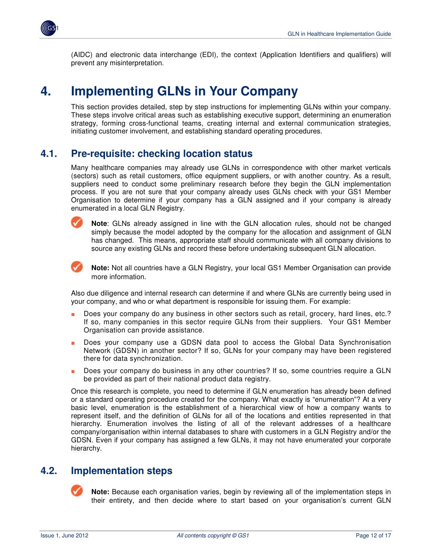

(AIDC) and electronic data interchange (EDI), the context (Application Identifiers and qualifiers) will prevent any misinterpretation.

## **4. Implementing GLNs in Your Company**

This section provides detailed, step by step instructions for implementing GLNs within your company. These steps involve critical areas such as establishing executive support, determining an enumeration strategy, forming cross-functional teams, creating internal and external communication strategies, initiating customer involvement, and establishing standard operating procedures.

### **4.1. Pre-requisite: checking location status**

Many healthcare companies may already use GLNs in correspondence with other market verticals (sectors) such as retail customers, office equipment suppliers, or with another country. As a result, suppliers need to conduct some preliminary research before they begin the GLN implementation process. If you are not sure that your company already uses GLNs check with your GS1 Member Organisation to determine if your company has a GLN assigned and if your company is already enumerated in a local GLN Registry.



 **Note**: GLNs already assigned in line with the GLN allocation rules, should not be changed simply because the model adopted by the company for the allocation and assignment of GLN has changed. This means, appropriate staff should communicate with all company divisions to source any existing GLNs and record these before undertaking subsequent GLN allocation.



**Note:** Not all countries have a GLN Registry, your local GS1 Member Organisation can provide more information.

Also due diligence and internal research can determine if and where GLNs are currently being used in your company, and who or what department is responsible for issuing them. For example:

- Does your company do any business in other sectors such as retail, grocery, hard lines, etc.? If so, many companies in this sector require GLNs from their suppliers. Your GS1 Member Organisation can provide assistance.
- Does your company use a GDSN data pool to access the Global Data Synchronisation Network (GDSN) in another sector? If so, GLNs for your company may have been registered there for data synchronization.
- Does your company do business in any other countries? If so, some countries require a GLN be provided as part of their national product data registry.

Once this research is complete, you need to determine if GLN enumeration has already been defined or a standard operating procedure created for the company. What exactly is "enumeration"? At a very basic level, enumeration is the establishment of a hierarchical view of how a company wants to represent itself, and the definition of GLNs for all of the locations and entities represented in that hierarchy. Enumeration involves the listing of all of the relevant addresses of a healthcare company/organisation within internal databases to share with customers in a GLN Registry and/or the GDSN. Even if your company has assigned a few GLNs, it may not have enumerated your corporate hierarchy.

### **4.2. Implementation steps**

**Note:** Because each organisation varies, begin by reviewing all of the implementation steps in their entirety, and then decide where to start based on your organisation's current GLN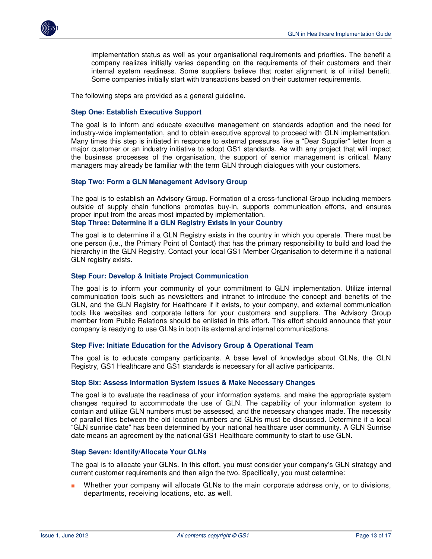

implementation status as well as your organisational requirements and priorities. The benefit a company realizes initially varies depending on the requirements of their customers and their internal system readiness. Some suppliers believe that roster alignment is of initial benefit. Some companies initially start with transactions based on their customer requirements.

The following steps are provided as a general guideline.

#### **Step One: Establish Executive Support**

The goal is to inform and educate executive management on standards adoption and the need for industry-wide implementation, and to obtain executive approval to proceed with GLN implementation. Many times this step is initiated in response to external pressures like a "Dear Supplier" letter from a major customer or an industry initiative to adopt GS1 standards. As with any project that will impact the business processes of the organisation, the support of senior management is critical. Many managers may already be familiar with the term GLN through dialogues with your customers.

#### **Step Two: Form a GLN Management Advisory Group**

The goal is to establish an Advisory Group. Formation of a cross-functional Group including members outside of supply chain functions promotes buy-in, supports communication efforts, and ensures proper input from the areas most impacted by implementation. **Step Three: Determine if a GLN Registry Exists in your Country** 

The goal is to determine if a GLN Registry exists in the country in which you operate. There must be one person (i.e., the Primary Point of Contact) that has the primary responsibility to build and load the hierarchy in the GLN Registry. Contact your local GS1 Member Organisation to determine if a national GLN registry exists.

#### **Step Four: Develop & Initiate Project Communication**

The goal is to inform your community of your commitment to GLN implementation. Utilize internal communication tools such as newsletters and intranet to introduce the concept and benefits of the GLN, and the GLN Registry for Healthcare if it exists, to your company, and external communication tools like websites and corporate letters for your customers and suppliers. The Advisory Group member from Public Relations should be enlisted in this effort. This effort should announce that your company is readying to use GLNs in both its external and internal communications.

#### **Step Five: Initiate Education for the Advisory Group & Operational Team**

The goal is to educate company participants. A base level of knowledge about GLNs, the GLN Registry, GS1 Healthcare and GS1 standards is necessary for all active participants.

#### **Step Six: Assess Information System Issues & Make Necessary Changes**

The goal is to evaluate the readiness of your information systems, and make the appropriate system changes required to accommodate the use of GLN. The capability of your information system to contain and utilize GLN numbers must be assessed, and the necessary changes made. The necessity of parallel files between the old location numbers and GLNs must be discussed. Determine if a local "GLN sunrise date" has been determined by your national healthcare user community. A GLN Sunrise date means an agreement by the national GS1 Healthcare community to start to use GLN.

#### **Step Seven: Identify/Allocate Your GLNs**

The goal is to allocate your GLNs. In this effort, you must consider your company's GLN strategy and current customer requirements and then align the two. Specifically, you must determine:

Whether your company will allocate GLNs to the main corporate address only, or to divisions, departments, receiving locations, etc. as well.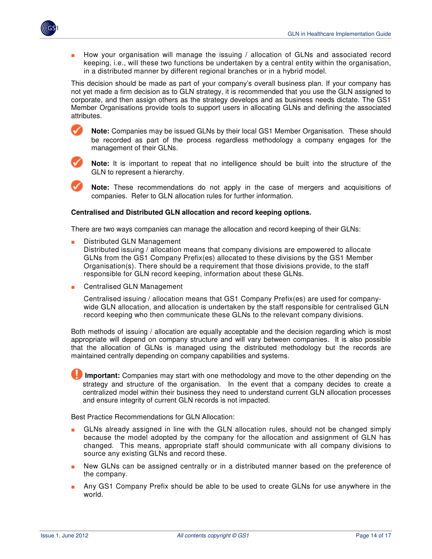

How your organisation will manage the issuing / allocation of GLNs and associated record keeping, i.e., will these two functions be undertaken by a central entity within the organisation, in a distributed manner by different regional branches or in a hybrid model.

This decision should be made as part of your company's overall business plan. If your company has not yet made a firm decision as to GLN strategy, it is recommended that you use the GLN assigned to corporate, and then assign others as the strategy develops and as business needs dictate. The GS1 Member Organisations provide tools to support users in allocating GLNs and defining the associated attributes.

**Note:** Companies may be issued GLNs by their local GS1 Member Organisation. These should be recorded as part of the process regardless methodology a company engages for the management of their GLNs.



**Note:** It is important to repeat that no intelligence should be built into the structure of the GLN to represent a hierarchy.

 **Note:** These recommendations do not apply in the case of mergers and acquisitions of companies. Refer to GLN allocation rules for further information.

#### **Centralised and Distributed GLN allocation and record keeping options.**

There are two ways companies can manage the allocation and record keeping of their GLNs:

- Distributed GLN Management Distributed issuing / allocation means that company divisions are empowered to allocate GLNs from the GS1 Company Prefix(es) allocated to these divisions by the GS1 Member Organisation(s). There should be a requirement that those divisions provide, to the staff responsible for GLN record keeping, information about these GLNs.
- Centralised GLN Management

Centralised issuing / allocation means that GS1 Company Prefix(es) are used for companywide GLN allocation, and allocation is undertaken by the staff responsible for centralised GLN record keeping who then communicate these GLNs to the relevant company divisions.

Both methods of issuing / allocation are equally acceptable and the decision regarding which is most appropriate will depend on company structure and will vary between companies. It is also possible that the allocation of GLNs is managed using the distributed methodology but the records are maintained centrally depending on company capabilities and systems.

**Important:** Companies may start with one methodology and move to the other depending on the strategy and structure of the organisation. In the event that a company decides to create a centralized model within their business they need to understand current GLN allocation processes and ensure integrity of current GLN records is not impacted.

Best Practice Recommendations for GLN Allocation:

- GLNs already assigned in line with the GLN allocation rules, should not be changed simply because the model adopted by the company for the allocation and assignment of GLN has changed. This means, appropriate staff should communicate with all company divisions to source any existing GLNs and record these.
- New GLNs can be assigned centrally or in a distributed manner based on the preference of the company.
- Any GS1 Company Prefix should be able to be used to create GLNs for use anywhere in the world.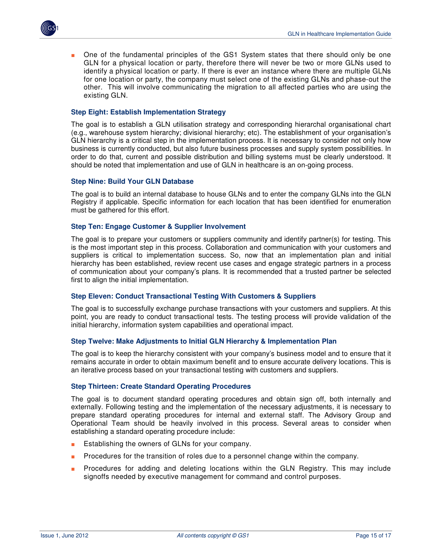

One of the fundamental principles of the GS1 System states that there should only be one GLN for a physical location or party, therefore there will never be two or more GLNs used to identify a physical location or party. If there is ever an instance where there are multiple GLNs for one location or party, the company must select one of the existing GLNs and phase-out the other. This will involve communicating the migration to all affected parties who are using the existing GLN.

#### **Step Eight: Establish Implementation Strategy**

The goal is to establish a GLN utilisation strategy and corresponding hierarchal organisational chart (e.g., warehouse system hierarchy; divisional hierarchy; etc). The establishment of your organisation's GLN hierarchy is a critical step in the implementation process. It is necessary to consider not only how business is currently conducted, but also future business processes and supply system possibilities. In order to do that, current and possible distribution and billing systems must be clearly understood. It should be noted that implementation and use of GLN in healthcare is an on-going process.

#### **Step Nine: Build Your GLN Database**

The goal is to build an internal database to house GLNs and to enter the company GLNs into the GLN Registry if applicable. Specific information for each location that has been identified for enumeration must be gathered for this effort.

#### **Step Ten: Engage Customer & Supplier Involvement**

The goal is to prepare your customers or suppliers community and identify partner(s) for testing. This is the most important step in this process. Collaboration and communication with your customers and suppliers is critical to implementation success. So, now that an implementation plan and initial hierarchy has been established, review recent use cases and engage strategic partners in a process of communication about your company's plans. It is recommended that a trusted partner be selected first to align the initial implementation.

#### **Step Eleven: Conduct Transactional Testing With Customers & Suppliers**

The goal is to successfully exchange purchase transactions with your customers and suppliers. At this point, you are ready to conduct transactional tests. The testing process will provide validation of the initial hierarchy, information system capabilities and operational impact.

#### **Step Twelve: Make Adjustments to Initial GLN Hierarchy & Implementation Plan**

The goal is to keep the hierarchy consistent with your company's business model and to ensure that it remains accurate in order to obtain maximum benefit and to ensure accurate delivery locations. This is an iterative process based on your transactional testing with customers and suppliers.

#### **Step Thirteen: Create Standard Operating Procedures**

The goal is to document standard operating procedures and obtain sign off, both internally and externally. Following testing and the implementation of the necessary adjustments, it is necessary to prepare standard operating procedures for internal and external staff. The Advisory Group and Operational Team should be heavily involved in this process. Several areas to consider when establishing a standard operating procedure include:

- Establishing the owners of GLNs for your company.
- Procedures for the transition of roles due to a personnel change within the company.
- Procedures for adding and deleting locations within the GLN Registry. This may include signoffs needed by executive management for command and control purposes.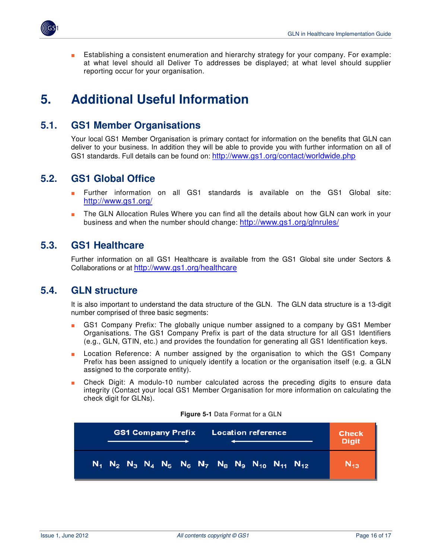

Establishing a consistent enumeration and hierarchy strategy for your company. For example: at what level should all Deliver To addresses be displayed; at what level should supplier reporting occur for your organisation.

## **5. Additional Useful Information**

### **5.1. GS1 Member Organisations**

Your local GS1 Member Organisation is primary contact for information on the benefits that GLN can deliver to your business. In addition they will be able to provide you with further information on all of GS1 standards. Full details can be found on: http://www.gs1.org/contact/worldwide.php

### **5.2. GS1 Global Office**

- Further information on all GS1 standards is available on the GS1 Global site: http://www.gs1.org/
- The GLN Allocation Rules Where you can find all the details about how GLN can work in your business and when the number should change: http://www.gs1.org/glnrules/

### **5.3. GS1 Healthcare**

Further information on all GS1 Healthcare is available from the GS1 Global site under Sectors & Collaborations or at http://www.gs1.org/healthcare

### **5.4. GLN structure**

It is also important to understand the data structure of the GLN. The GLN data structure is a 13-digit number comprised of three basic segments:

- GS1 Company Prefix: The globally unique number assigned to a company by GS1 Member Organisations. The GS1 Company Prefix is part of the data structure for all GS1 Identifiers (e.g., GLN, GTIN, etc.) and provides the foundation for generating all GS1 Identification keys.
- Location Reference: A number assigned by the organisation to which the GS1 Company Prefix has been assigned to uniquely identify a location or the organisation itself (e.g. a GLN assigned to the corporate entity).
- Check Digit: A modulo-10 number calculated across the preceding digits to ensure data integrity (Contact your local GS1 Member Organisation for more information on calculating the check digit for GLNs).

| <b>GS1 Company Prefix</b> |  |  |  |  |  | Location reference |  |                                                                                  |  | Check<br><b>Digit</b> |          |
|---------------------------|--|--|--|--|--|--------------------|--|----------------------------------------------------------------------------------|--|-----------------------|----------|
|                           |  |  |  |  |  |                    |  | $N_1$ $N_2$ $N_3$ $N_4$ $N_5$ $N_6$ $N_7$ $N_8$ $N_9$ $N_{10}$ $N_{11}$ $N_{12}$ |  |                       | $N_{43}$ |

**Figure 5-1** Data Format for a GLN